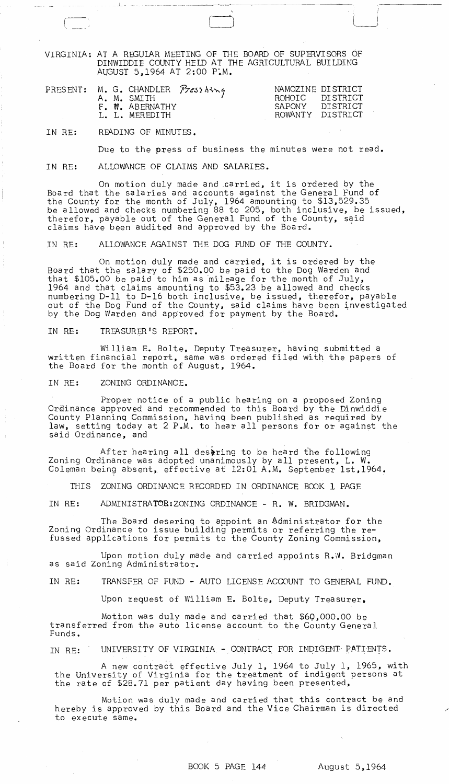VIRGINIA: AT A REGULAR MEETING OF THE BOARD OF SUPERVISORS OF DINWIDDIE COUNTY HEll AT THE AGRICULTURAL BUILDING AUGUST 5,1964 AT 2:00 P:M.

 $\Box$   $\Box$ 

|  | PRESENT: M. G. CHANDLER Pressbing<br>A. M. SMITH | NAMOZINE DISTRICT<br>ROHOTC DISTRICT |  |
|--|--------------------------------------------------|--------------------------------------|--|
|  | F. W. ABERNATHY<br>L. L. MEREDITH                | SAPONY DISTRICT<br>ROWANTY DISTRICT  |  |

IN RE: READING OF MINUTES.

 $L = -\infty$ 

 $\overline{r}$ 

Due to the press of business the minutes were not read.

IN RE: ALLOWANCE OF CLAIMS AND SALARIES.

On motion duly made and carried, it is ordered by the Board that the salaries and accounts against the General Fund of the County for the month of July, 1964 amounting to \$13,529.35 be allowed and checks numbering 88 to 205, both inclusive, be issued, therefor, payable out of the General Fund of the County, said claims have been audited and approved by the Board.

IN RE: ALLOWANCE AGAINST THE DOG FUND OF THE COUNTY.

On motion duly made and carried, it is ordered by the Board that the salary of \$250.00 be paid to the Dog Warden and that \$105.00 be paid to him as mileage for the month of July, 1964 and that claims amounting to \$53.23 be allowed and checks numbering D-ll to D-16 both inclusive, be issued, therefor, payable out of the Dog Fund of the County, said claims have been investigated by the Dog Warden and approved for payment by the Board.

IN RE: TREASURER'S REPORT.

William E. Bolte, Deputy Treasurer, having submitted a written financial report, same was ordered filed with the papers of the Board for the month of August, 1964.

IN RE: ZONING ORDINANCE.

Proper notice of a public hearing on a proposed Zoning Ordinance approved and recommended to this Board by the Dinwiddie County Planning Commission, having been published as required by law, setting today at 2 P.M. to hear all persons for or against the said Ordinance, and

After hearing all desering to be heard the following Zoning Ordinance was adopted unanimously by all present, L. W. Coleman being absent, effective at 12:01 A.M. September lst,1964.

THIS ZONING ORDINANCE RECORDED IN ORDINANCE BOOK 1 PAGE

IN RE: ADMINISTRATOR:ZONING ORDINANCE - R. W. BRIDGMAN.

The Board desering to appoint an Administrator for the Zoning Ordinance to issue building permits or referring the refussed applications for permits to the County Zoning Commission,

Upon motion duly made and carried appoints R.W. Bridgman as said Zoning Administrator.

IN RE: TRANSFER OF FUND - AUTO LICENSE ACCOUNT TO GENERAL FUND.

Upon request of William E. Bolte, Deputy Treasurer,

Motion was duly made and carried that \$6Q,000.00 be transferred from the auto license account to the County General Funds.

IN RE: UNIVERSITY OF VIRGINIA - CONTRACT FOR INDIGENT PATIENTS.

A new contract effective July 1, 1964 to July 1, 1965, with the University of Virginia for the treatment of indigent persons at the rate of \$28.71 per patient day having been presented,

Motion was duly made and carried that this contract be and hereby is approved by this Board and the Vice Chairman is directed to execute same.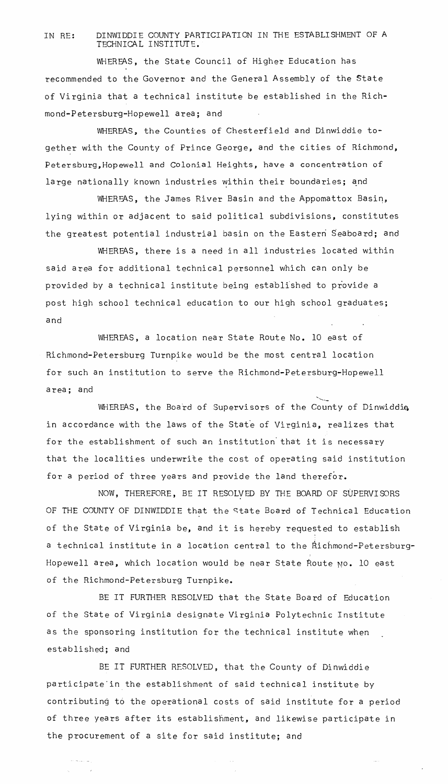## IN RE: DINWIDDIE COUNTY PARTICIPATION IN THE ESTABLISHMENT OF A TECHNICAL INSTITUTE.

WHEREAS, the State Council of Higher Education has recommended to the Governor and the General Assembly of the State of Virginia that a technical institute be established in the Richmond-Petersburg-Hopewell area; and

WHEREAS, the Counties of Chesterfield and Dinwiddie together with the County of Prince George, and the cities of Richmond, Petersburg, Hopewell and Colonial Heights, have a concentration of large nationally known industries within their boundaries; and

WHEREAS, the James River Basin and the Appomattox Basin, lying within or adjacent to said political subdivisions, constitutes the greatest potential industrial basin on the Eastern Seaboard; and

WHEREAS, there is a need in all industries located within said area for additional technical personnel which can only be provided by a technical institute being established to provide a post high school technical education to our high school graduates; and

WHEREAS, a location near State Route No. 10 east of Richmond-Petersburg Turnpike would be the most central location for such an institution to serve the Richmond-Petersburg-Hopewell area; and  $\sim$ 

WHEREAS, the Board of Supervisors of the County of Dinwiddie, in accordance with the laws of the State of Virginia, realizes that for the establishment of such an institution'that it is necessary that the localities underwrite the cost of operating said institution for a period of three years and provide the land therefor.

NOW, THEREFORE, BE IT RESOLVED BY THE BOARD OF SUPERVISORS OF THE COUNTY OF DINWIDDIE that the state Board of Technical Education of the State of Virginia be, and it is hereby requested to establish a technical institute in a location central to the Richmond-Petersburg-Hopewell area, which location would be near State Route No. 10 east of the Richmond-Petersburg Turnpike.

BE IT FURTHER RESOLVED that the State Board of Education of the State of Virginia designate Virginia Polytechnic Institute as the sponsoring institution for the technical institute when established; and

BE IT FURTHER RESOLVED, that the County of Dinwiddie participate'in the establishment of said technical institute by contributing to the operational costs of said institute for a period of three years after its establishment, and likewise participate in the procurement of a site for said institute; and

 $\zeta_{\rm{max}}$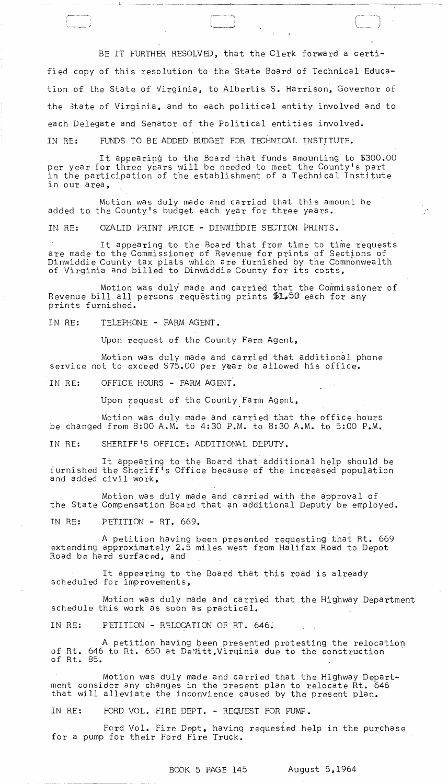BE IT FURTHER RESOLVED, that the Clerk forward a certified copy of this resolution to the State Board of Technical Education of the State of Virginia, to Albertis S. Harrison, Governor of the 3tate of Virginia, and to each political entity involved and to each Delegate and Senator of the Political entities involved. IN RE: FUNDS TO BE ADDED BUDGET FOR TECHNICAL INSTITUTE.

It appearing to the Board that funds amounting to \$300.00 per year for three years will be needed to meet the County's part in the participation of the establishment of a Technical Institute in our a rea,

Motion was duly made and carried that this amount be added to the County's budget each year for three years.

IN. RE: OZALID PRINT PRICE - DINWIDDIE SECTION PRINTS.

It appearing to the Board that from time to time requests are made to the Commissioner of Revenue for prints of Sections of Dinwiddie County tax plats which are furnished by the Commonwealth of Virginia and billed to Dinwiddie County for its costs,

Motion was duly made and carried that the Commissioner of Revenue bill all persons requesting prints \$1.50 each for any prints furnished.

IN RE: TELEPHONE - FARM AGENT.

,,,--------..... i ',.~-.-~

Upon request of the County Farm Agent,

Motion was duly made and carried that additional phone service not to exceed  $$75.00$  per year be allowed his office.

IN RE: OFFICE HOURS - FARM AGENT.

Upon request of the County Farm Agent,

Motion was duly made and carried that the office hours be changed from 8:00 A.M. to 4:30 P.M. to 8:30 A.M. to 5:00 P.M.

IN RE: SHERIFF'S OFFICE: ADDITIONAL DEPUTY.

It appearing to the Board that additional help should be furnished the Sheriff's Office because of the increased population and added civil work,

Motion,was duly made and carried with the approval of the State Compensation Board that an additional Deputy be employed.

IN RE: PETITION - RT. 669.

A petition having been presented requesting that Rt. 669 extending approximately 2.5 miles west from Halifax Road to Depot Road be hard surfaced, and

It appearing to the Board that this road is already scheduled for improvements,

Motion was duly made and carried that the Highway Department schedule this work as soon as practical.

IN RE: PETITION - RELOCATION OF RT. 646.

A petition having been presented protesting the relocation of Rt. 646 to Rt. 650 at De'fitt,Virqinia due to the construction of Rt. 85.

Motion was duly made and carried that the Highway Department consider any changes in the present plan to relocate Rt. 646 that will alleviate the inconvience caused by the present plan.

IN RE: FORD VOL. FIRE DEPT. - REQUEST FOR PUMP.

Ford Vol. Fire Dept, having requested help in the purchase for a pump for their Ford Fire Truck.

BOOK 5 PAGE 145 August 5,1964

, .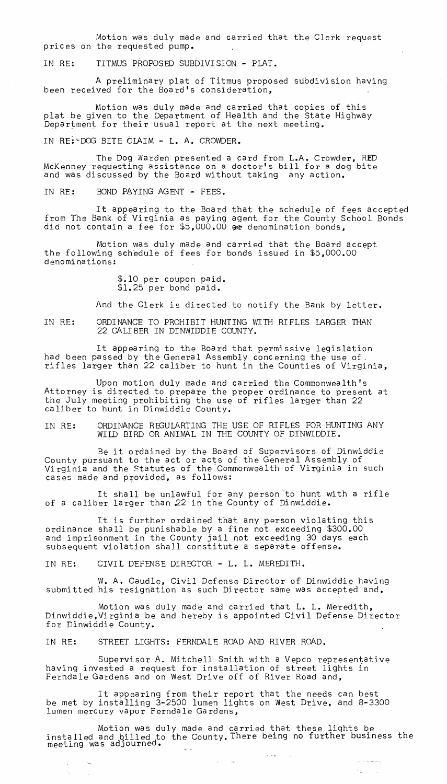Motion was duly made and carried that the Clerk request prices on the requested pump.

IN RE: TITMUS PROPOSED SUBDIVISION - PLAT.

A preliminary plat of Titmus proposed subdivi.sion having been received for the Board's consideration,

Motion was duly made and carried that copies of this plat be given to the Department of Health and the State Highway Department for their usual report at the next meeting.

IN RE:~DOG BITE CLAIM - L. A. CROWDER.

The Dog Warden presented a card from L.A. Crowder, RED McKenney requesting assistance on a doctor's bill for a dog bite and was discussed by the Board without taking any action.

IN RE: BOND PAYING AGENT - FEES.

It appearing to the Board that the schedule of fees accepted from The Bank of Virginia as paying agent for the County School Bonds did not contain a fee for \$5,000.00  $\bullet$  denomination bonds,

Motion was duly made and carried that the Board accept the following schedule of fees for bonds issued in \$5,000.00 denominations:

> \$.10 per coupon paid. \$1.25 per bond paid.

And the Clerk is directed to notify the Bank by letter.

IN RE: ORDINANCE TO PROHIBIT HUNTING WITH RIFLES LARGER THAN 22 CALIBER IN DINWIDDIE COUNTY.

It appearing to the Board that permissive legislation had been passed by the.General Assembly concerning the use of. not been pessed by the Scherer moschary concerning the doe of.

Upon motion duly made and carried the Commonwealth's Attorney is directed to prepare the proper ordinance to present at the July meeting prohibiting the use of rifles larger than 22 caliber to hunt in Dinwiddie County.

IN RE: ORDINANCE REGULARTING THE USE OF RIFLES FOR HUNTING ANY WILD BIRD OR ANIMAL IN THE COUNTY OF DINWIDDIE.

Be it ordained by the Board of Supervisors of Dinwiddie County pursuant to the act or acts of the General Assembly of Virginia and the Statutes of the Commonwealth of Virginia in such cases made and provided, as follows:

It shall be unlawful for any person'to hunt with a rifle of a caliber larger than 22 in the County of Dinwiddie.

It is further ordained that any person violating this ordinance shall be punishable by a fine not exceeding \$300.00 and imprisonment in the County jail not exceeding 30 days each subsequent violation shall constitute a separate offense.

IN RE: CIVIL DEFENSE DIRECTOR - L. L. MEREDITH.

W. A. Caudle, Civil Defense Director of Dinwiddie having submitted his resignation as such Director same was accepted and,

Motion was duly made and carried that L. L. Meredith, Dinwiddie,Virginia be and hereby is appointed Civil Defense Director for Dinwiddie County.

IN RE: STREET LIGHTS: FERNDALE ROAD AND RIVER ROAD.

Supervisor A. Mitchell Smith with a Vepco representative having invested a request for installation of street lights in Ferndale Gardens and on West Drive off of River Road and,

It appearing from their report that the needs can best be met by installing 3-2500 lumen lights on West Drive, and 8-3300 lumen mercury vapor Ferndale Gardens,

Motion was duly made and carried that these lights be installed and billed to the County. There being no further business the meeting was adjourned.

 $\mathcal{L}(\mathbf{x})$  , and  $\mathcal{L}(\mathbf{x})$ 

 $\sim 100$ 

ليعيضه المائي

 $\Delta \leq \Delta \leq 1$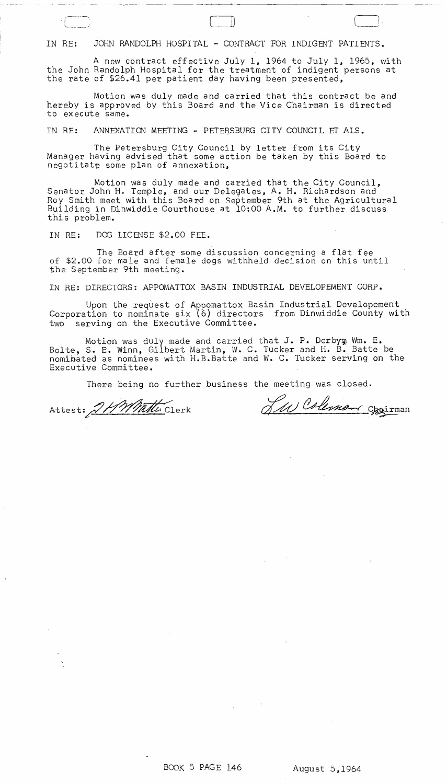IN RE: JOHN RANDOLPH HOSPITAL - CONTRACT FOR INDIGENT PATIENTS.

A new contract effective July 1, 1964 to July 1, 1965, with the John Randolph Hospital for the treatment of indigent persons at the rate of \$26.41 per patient day having been presented,

Motion was duly made and carried that this contract be and hereby is approved by this Board and the Vice Chairman is directed to execute same.

IN RE: ANNEXATION MEETING - PETERSBURG CITY COUNCIL ET ALS.

The Petersburg City Council by letter from its City Manager having advised that some action be taken by this Board to negotitate some plan of annexation,

Motion was duly made and carried that the City Council, Senator John H. Temple, and our Delegates, A. H. Richardson and Roy Smith meet with this Board on September 9th at the Agricultural Building in Dinwiddie Courthouse at 10:00 A.M. to further discuss this problem.

IN RE: DOG LICENSE \$2.00 FEE.

- -,----- --- --- --- ---~- --- --------~-

 $\overline{\phantom{a}}$ .  $\overline{\phantom{a}}$ ".\_---)

The Board after some discussion concerning a flat fee of \$2.00 for male and female dogs withheld decision on this until the September 9th meeting.

IN RE: DIRECTORS: APPOMATTOX BASIN INDUSTRIAL DEVELOPEMENT CORP.

Upon the request of Appomattox Basin Industrial Developement Corporation to nominate six (6) directors from Dinwiddie County with two serving on the Executive Committee.

Motion was duly made and carried that J. P. Derbym Wm. E. Bolte, S. E. Winn, Gilbert Martin, W. C. Tucker and H. B. Batte be nomibated as nominees with H.B.Batte and W. C. Tucker serving on the Executive Committee.

There being no further business the meeting was closed.

Attest: 2HMMuttu Clerk

Two Coleman Oppirman

 $\bigcup_{i=1}^n$